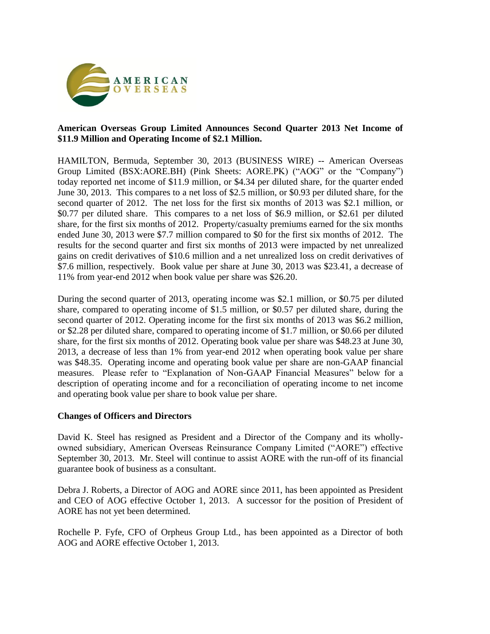

# **American Overseas Group Limited Announces Second Quarter 2013 Net Income of \$11.9 Million and Operating Income of \$2.1 Million.**

HAMILTON, Bermuda, September 30, 2013 (BUSINESS WIRE) -- American Overseas Group Limited (BSX:AORE.BH) (Pink Sheets: AORE.PK) ("AOG" or the "Company") today reported net income of \$11.9 million, or \$4.34 per diluted share, for the quarter ended June 30, 2013. This compares to a net loss of \$2.5 million, or \$0.93 per diluted share, for the second quarter of 2012. The net loss for the first six months of 2013 was \$2.1 million, or \$0.77 per diluted share. This compares to a net loss of \$6.9 million, or \$2.61 per diluted share, for the first six months of 2012. Property/casualty premiums earned for the six months ended June 30, 2013 were \$7.7 million compared to \$0 for the first six months of 2012. The results for the second quarter and first six months of 2013 were impacted by net unrealized gains on credit derivatives of \$10.6 million and a net unrealized loss on credit derivatives of \$7.6 million, respectively. Book value per share at June 30, 2013 was \$23.41, a decrease of 11% from year-end 2012 when book value per share was \$26.20.

During the second quarter of 2013, operating income was \$2.1 million, or \$0.75 per diluted share, compared to operating income of \$1.5 million, or \$0.57 per diluted share, during the second quarter of 2012. Operating income for the first six months of 2013 was \$6.2 million, or \$2.28 per diluted share, compared to operating income of \$1.7 million, or \$0.66 per diluted share, for the first six months of 2012. Operating book value per share was \$48.23 at June 30, 2013, a decrease of less than 1% from year-end 2012 when operating book value per share was \$48.35. Operating income and operating book value per share are non-GAAP financial measures. Please refer to "Explanation of Non-GAAP Financial Measures" below for a description of operating income and for a reconciliation of operating income to net income and operating book value per share to book value per share.

#### **Changes of Officers and Directors**

David K. Steel has resigned as President and a Director of the Company and its whollyowned subsidiary, American Overseas Reinsurance Company Limited ("AORE") effective September 30, 2013. Mr. Steel will continue to assist AORE with the run-off of its financial guarantee book of business as a consultant.

Debra J. Roberts, a Director of AOG and AORE since 2011, has been appointed as President and CEO of AOG effective October 1, 2013. A successor for the position of President of AORE has not yet been determined.

Rochelle P. Fyfe, CFO of Orpheus Group Ltd., has been appointed as a Director of both AOG and AORE effective October 1, 2013.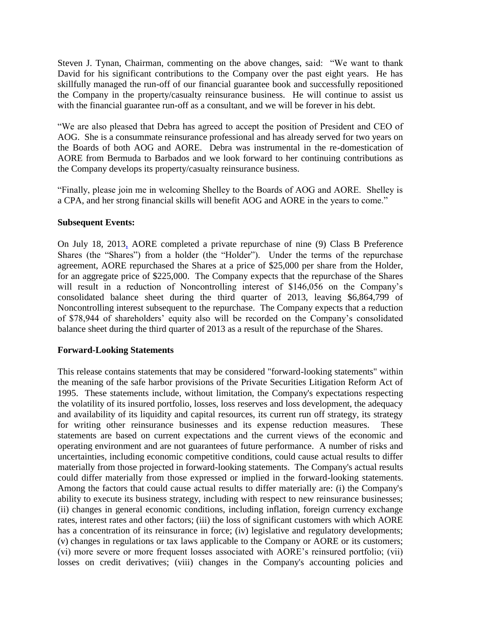Steven J. Tynan, Chairman, commenting on the above changes, said: "We want to thank David for his significant contributions to the Company over the past eight years. He has skillfully managed the run-off of our financial guarantee book and successfully repositioned the Company in the property/casualty reinsurance business. He will continue to assist us with the financial guarantee run-off as a consultant, and we will be forever in his debt.

"We are also pleased that Debra has agreed to accept the position of President and CEO of AOG. She is a consummate reinsurance professional and has already served for two years on the Boards of both AOG and AORE. Debra was instrumental in the re-domestication of AORE from Bermuda to Barbados and we look forward to her continuing contributions as the Company develops its property/casualty reinsurance business.

"Finally, please join me in welcoming Shelley to the Boards of AOG and AORE. Shelley is a CPA, and her strong financial skills will benefit AOG and AORE in the years to come."

#### **Subsequent Events:**

On July 18, 2013, AORE completed a private repurchase of nine (9) Class B Preference Shares (the "Shares") from a holder (the "Holder"). Under the terms of the repurchase agreement, AORE repurchased the Shares at a price of \$25,000 per share from the Holder, for an aggregate price of \$225,000. The Company expects that the repurchase of the Shares will result in a reduction of Noncontrolling interest of \$146,056 on the Company's consolidated balance sheet during the third quarter of 2013, leaving \$6,864,799 of Noncontrolling interest subsequent to the repurchase. The Company expects that a reduction of \$78,944 of shareholders' equity also will be recorded on the Company's consolidated balance sheet during the third quarter of 2013 as a result of the repurchase of the Shares.

#### **Forward-Looking Statements**

This release contains statements that may be considered "forward-looking statements" within the meaning of the safe harbor provisions of the Private Securities Litigation Reform Act of 1995. These statements include, without limitation, the Company's expectations respecting the volatility of its insured portfolio, losses, loss reserves and loss development, the adequacy and availability of its liquidity and capital resources, its current run off strategy, its strategy for writing other reinsurance businesses and its expense reduction measures. These statements are based on current expectations and the current views of the economic and operating environment and are not guarantees of future performance. A number of risks and uncertainties, including economic competitive conditions, could cause actual results to differ materially from those projected in forward-looking statements. The Company's actual results could differ materially from those expressed or implied in the forward-looking statements. Among the factors that could cause actual results to differ materially are: (i) the Company's ability to execute its business strategy, including with respect to new reinsurance businesses; (ii) changes in general economic conditions, including inflation, foreign currency exchange rates, interest rates and other factors; (iii) the loss of significant customers with which AORE has a concentration of its reinsurance in force; (iv) legislative and regulatory developments; (v) changes in regulations or tax laws applicable to the Company or AORE or its customers; (vi) more severe or more frequent losses associated with AORE's reinsured portfolio; (vii) losses on credit derivatives; (viii) changes in the Company's accounting policies and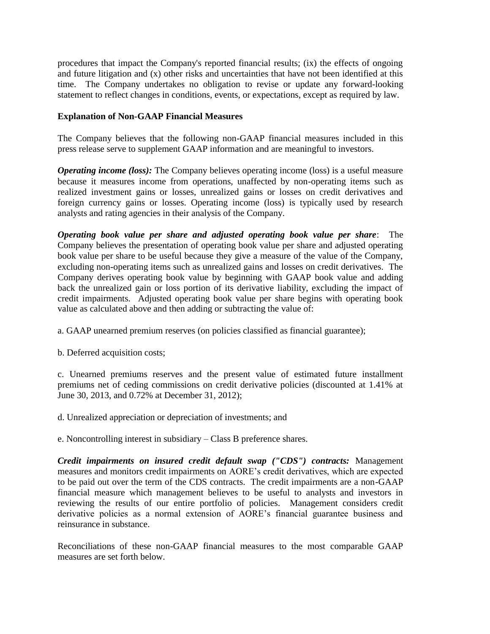procedures that impact the Company's reported financial results; (ix) the effects of ongoing and future litigation and (x) other risks and uncertainties that have not been identified at this time. The Company undertakes no obligation to revise or update any forward-looking statement to reflect changes in conditions, events, or expectations, except as required by law.

# **Explanation of Non-GAAP Financial Measures**

The Company believes that the following non-GAAP financial measures included in this press release serve to supplement GAAP information and are meaningful to investors.

*Operating income (loss):* The Company believes operating income (loss) is a useful measure because it measures income from operations, unaffected by non-operating items such as realized investment gains or losses, unrealized gains or losses on credit derivatives and foreign currency gains or losses. Operating income (loss) is typically used by research analysts and rating agencies in their analysis of the Company.

*Operating book value per share and adjusted operating book value per share*: The Company believes the presentation of operating book value per share and adjusted operating book value per share to be useful because they give a measure of the value of the Company, excluding non-operating items such as unrealized gains and losses on credit derivatives. The Company derives operating book value by beginning with GAAP book value and adding back the unrealized gain or loss portion of its derivative liability, excluding the impact of credit impairments. Adjusted operating book value per share begins with operating book value as calculated above and then adding or subtracting the value of:

a. GAAP unearned premium reserves (on policies classified as financial guarantee);

b. Deferred acquisition costs;

c. Unearned premiums reserves and the present value of estimated future installment premiums net of ceding commissions on credit derivative policies (discounted at 1.41% at June 30, 2013, and 0.72% at December 31, 2012);

d. Unrealized appreciation or depreciation of investments; and

e. Noncontrolling interest in subsidiary – Class B preference shares.

*Credit impairments on insured credit default swap ("CDS") contracts:* Management measures and monitors credit impairments on AORE's credit derivatives, which are expected to be paid out over the term of the CDS contracts. The credit impairments are a non-GAAP financial measure which management believes to be useful to analysts and investors in reviewing the results of our entire portfolio of policies. Management considers credit derivative policies as a normal extension of AORE's financial guarantee business and reinsurance in substance.

Reconciliations of these non-GAAP financial measures to the most comparable GAAP measures are set forth below.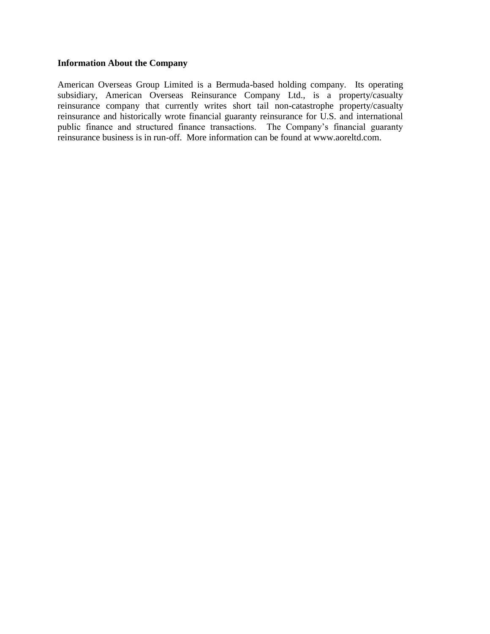# **Information About the Company**

American Overseas Group Limited is a Bermuda-based holding company. Its operating subsidiary, American Overseas Reinsurance Company Ltd., is a property/casualty reinsurance company that currently writes short tail non-catastrophe property/casualty reinsurance and historically wrote financial guaranty reinsurance for U.S. and international public finance and structured finance transactions. The Company's financial guaranty reinsurance business is in run-off. More information can be found at www.aoreltd.com.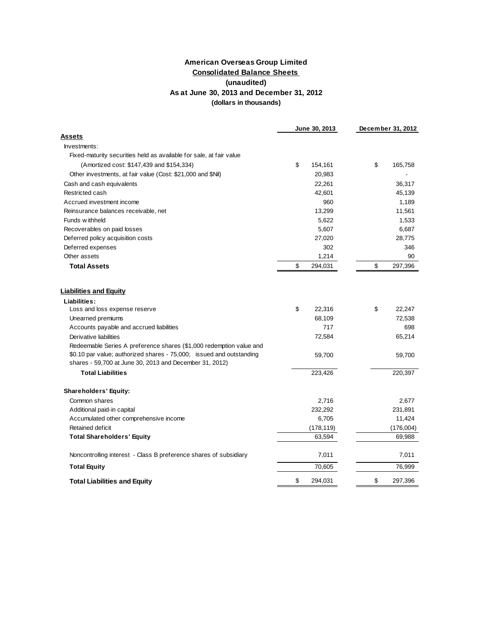## **Consolidated Balance Sheets (unaudited) American Overseas Group Limited As at June 30, 2013 and December 31, 2012 (dollars in thousands)**

|                                                                      | June 30, 2013 |            | December 31, 2012 |
|----------------------------------------------------------------------|---------------|------------|-------------------|
| Assets                                                               |               |            |                   |
| Investments:                                                         |               |            |                   |
| Fixed-maturity securities held as available for sale, at fair value  |               |            |                   |
| (Amortized cost: \$147,439 and \$154,334)                            | \$            | 154,161    | \$<br>165,758     |
| Other investments, at fair value (Cost: \$21,000 and \$Nil)          |               | 20,983     |                   |
| Cash and cash equivalents                                            |               | 22,261     | 36,317            |
| Restricted cash                                                      |               | 42,601     | 45,139            |
| Accrued investment income                                            |               | 960        | 1,189             |
| Reinsurance balances receivable, net                                 |               | 13,299     | 11,561            |
| Funds withheld                                                       |               | 5,622      | 1,533             |
| Recoverables on paid losses                                          |               | 5,607      | 6,687             |
| Deferred policy acquisition costs                                    |               | 27,020     | 28,775            |
| Deferred expenses                                                    |               | 302        | 346               |
| Other assets                                                         |               | 1,214      | 90                |
| <b>Total Assets</b>                                                  | \$            | 294,031    | \$<br>297,396     |
|                                                                      |               |            |                   |
| <b>Liabilities and Equity</b>                                        |               |            |                   |
| Liabilities:                                                         | \$            | 22,316     | \$<br>22,247      |
| Loss and loss expense reserve<br>Unearned premiums                   |               | 68,109     | 72,538            |
| Accounts payable and accrued liabilities                             |               | 717        | 698               |
| Derivative liabilities                                               |               | 72,584     | 65,214            |
| Redeemable Series A preference shares (\$1,000 redemption value and  |               |            |                   |
| \$0.10 par value; authorized shares - 75,000; issued and outstanding |               | 59,700     | 59,700            |
| shares - 59,700 at June 30, 2013 and December 31, 2012)              |               |            |                   |
| <b>Total Liabilities</b>                                             |               | 223,426    | 220,397           |
| <b>Shareholders' Equity:</b>                                         |               |            |                   |
| Common shares                                                        |               | 2,716      | 2,677             |
| Additional paid-in capital                                           |               | 232,292    | 231,891           |
| Accumulated other comprehensive income                               |               | 6,705      | 11,424            |
| Retained deficit                                                     |               | (178, 119) | (176,004)         |
| <b>Total Shareholders' Equity</b>                                    |               | 63,594     | 69,988            |
|                                                                      |               |            |                   |
| Noncontrolling interest - Class B preference shares of subsidiary    |               | 7,011      | 7,011             |
| <b>Total Equity</b>                                                  |               | 70,605     | 76,999            |
| <b>Total Liabilities and Equity</b>                                  | \$            | 294,031    | \$<br>297,396     |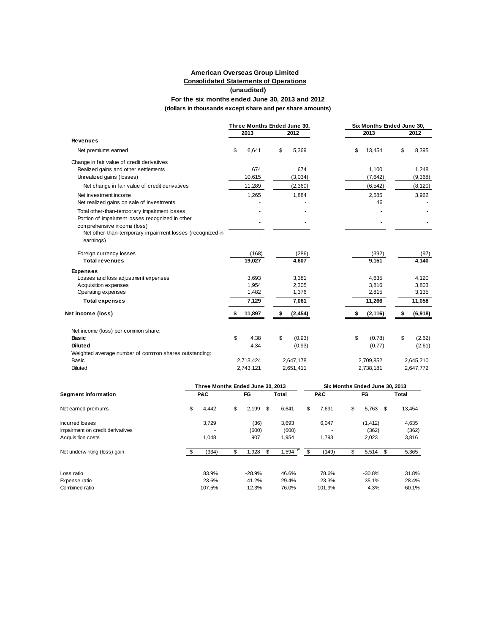#### **American Overseas Group Limited (unaudited) (dollars in thousands except share and per share amounts) For the six months ended June 30, 2013 and 2012 Consolidated Statements of Operations**

|                                                                        | Three Months Ended June 30, |           |    |           | Six Months Ended June 30. |           |               |
|------------------------------------------------------------------------|-----------------------------|-----------|----|-----------|---------------------------|-----------|---------------|
|                                                                        |                             | 2013      |    | 2012      |                           | 2013      | 2012          |
| <b>Revenues</b>                                                        |                             |           |    |           |                           |           |               |
| Net premiums earned                                                    | \$                          | 6,641     | \$ | 5,369     | \$                        | 13,454    | \$<br>8,395   |
| Change in fair value of credit derivatives                             |                             |           |    |           |                           |           |               |
| Realized gains and other settlements                                   |                             | 674       |    | 674       |                           | 1,100     | 1,248         |
| Unrealized gains (losses)                                              |                             | 10,615    |    | (3,034)   |                           | (7,642)   | (9,368)       |
| Net change in fair value of credit derivatives                         |                             | 11,289    |    | (2,360)   |                           | (6, 542)  | (8, 120)      |
| Net investment income                                                  |                             | 1,265     |    | 1,884     |                           | 2,585     | 3,962         |
| Net realized gains on sale of investments                              |                             |           |    |           |                           | 46        |               |
| Total other-than-temporary impairment losses                           |                             |           |    |           |                           |           |               |
| Portion of impairment losses recognized in other                       |                             |           |    |           |                           |           |               |
| comprehensive income (loss)                                            |                             |           |    |           |                           |           |               |
| Net other-than-temporary impairment losses (recognized in<br>earnings) |                             |           |    |           |                           |           |               |
| Foreign currency losses                                                |                             | (168)     |    | (286)     |                           | (392)     | (97)          |
| <b>Total revenues</b>                                                  |                             | 19,027    |    | 4,607     |                           | 9,151     | 4,140         |
| <b>Expenses</b>                                                        |                             |           |    |           |                           |           |               |
| Losses and loss adjustment expenses                                    |                             | 3.693     |    | 3,381     |                           | 4,635     | 4,120         |
| Acquisition expenses                                                   |                             | 1,954     |    | 2,305     |                           | 3,816     | 3,803         |
| Operating expenses                                                     |                             | 1,482     |    | 1,376     |                           | 2,815     | 3,135         |
| <b>Total expenses</b>                                                  |                             | 7,129     |    | 7,061     |                           | 11,266    | 11,058        |
| Net income (loss)                                                      |                             | 11,897    |    | (2, 454)  | \$                        | (2, 116)  | \$<br>(6,918) |
| Net income (loss) per common share:                                    |                             |           |    |           |                           |           |               |
| Basic                                                                  | \$                          | 4.38      | \$ | (0.93)    | \$                        | (0.78)    | \$<br>(2.62)  |
| <b>Diluted</b>                                                         |                             | 4.34      |    | (0.93)    |                           | (0.77)    | (2.61)        |
| Weighted average number of common shares outstanding:                  |                             |           |    |           |                           |           |               |
| Basic                                                                  |                             | 2,713,424 |    | 2,647,178 |                           | 2,709,852 | 2,645,210     |
| <b>Diluted</b>                                                         |                             | 2,743,121 |    | 2,651,411 |                           | 2,738,181 | 2,647,772     |

|                                  | Three Months Ended June 30, 2013 |    |          |      |       |    |        | Six Months Ended June 30, 2013 |          |     |        |  |  |  |
|----------------------------------|----------------------------------|----|----------|------|-------|----|--------|--------------------------------|----------|-----|--------|--|--|--|
| Segment information              | P&C                              |    | FG       |      | Total |    | P&C    |                                | FG       |     | Total  |  |  |  |
| Net earned premiums              | \$<br>4,442                      | \$ | 2,199    | - \$ | 6.641 | \$ | 7.691  | \$                             | 5,763    | \$  | 13,454 |  |  |  |
| Incurred losses                  | 3,729                            |    | (36)     |      | 3,693 |    | 6,047  |                                | (1, 412) |     | 4,635  |  |  |  |
| Impairment on credit derivatives |                                  |    | (600)    |      | (600) |    |        |                                | (362)    |     | (362)  |  |  |  |
| Acquisition costs                | 1,048                            |    | 907      |      | 1,954 |    | 1,793  |                                | 2,023    |     | 3,816  |  |  |  |
| Net underw riting (loss) gain    | (334)                            | \$ | 1,928    | \$   | 1,594 |    | (149)  | \$                             | 5,514    | \$. | 5,365  |  |  |  |
| Loss ratio                       | 83.9%                            |    | $-28.9%$ |      | 46.6% |    | 78.6%  |                                | $-30.8%$ |     | 31.8%  |  |  |  |
| Expense ratio                    | 23.6%                            |    | 41.2%    |      | 29.4% |    | 23.3%  |                                | 35.1%    |     | 28.4%  |  |  |  |
| Combined ratio                   | 107.5%                           |    | 12.3%    |      | 76.0% |    | 101.9% |                                | 4.3%     |     | 60.1%  |  |  |  |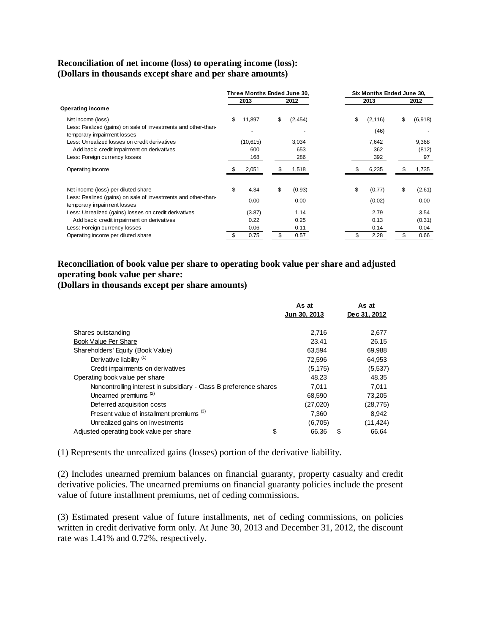## **Reconciliation of net income (loss) to operating income (loss): (Dollars in thousands except share and per share amounts)**

|                                                                                              | Three Months Ended June 30, |           |    | Six Months Ended June 30, |    |          |    |         |  |
|----------------------------------------------------------------------------------------------|-----------------------------|-----------|----|---------------------------|----|----------|----|---------|--|
|                                                                                              |                             | 2013      |    | 2012                      |    | 2013     |    | 2012    |  |
| Operating income                                                                             |                             |           |    |                           |    |          |    |         |  |
| Net income (loss)                                                                            | \$                          | 11,897    | \$ | (2,454)                   | \$ | (2, 116) | \$ | (6,918) |  |
| Less: Realized (gains) on sale of investments and other-than-<br>temporary impairment losses |                             |           |    |                           |    | (46)     |    |         |  |
| Less: Unrealized losses on credit derivatives                                                |                             | (10, 615) |    | 3,034                     |    | 7,642    |    | 9,368   |  |
| Add back: credit impairment on derivatives                                                   |                             | 600       |    | 653                       |    | 362      |    | (812)   |  |
| Less: Foreign currency losses                                                                |                             | 168       |    | 286                       |    | 392      |    | 97      |  |
| Operating income                                                                             |                             | 2,051     |    | 1,518                     |    | 6,235    |    | 1,735   |  |
| Net income (loss) per diluted share                                                          | \$                          | 4.34      | \$ | (0.93)                    | \$ | (0.77)   | \$ | (2.61)  |  |
| Less: Realized (gains) on sale of investments and other-than-<br>temporary impairment losses |                             | 0.00      |    | 0.00                      |    | (0.02)   |    | 0.00    |  |
| Less: Unrealized (gains) losses on credit derivatives                                        |                             | (3.87)    |    | 1.14                      |    | 2.79     |    | 3.54    |  |
| Add back: credit impairment on derivatives                                                   |                             | 0.22      |    | 0.25                      |    | 0.13     |    | (0.31)  |  |
| Less: Foreign currency losses                                                                |                             | 0.06      |    | 0.11                      |    | 0.14     |    | 0.04    |  |
| Operating income per diluted share                                                           |                             | 0.75      |    | 0.57                      |    | 2.28     |    | 0.66    |  |

# **Reconciliation of book value per share to operating book value per share and adjusted operating book value per share:**

**(Dollars in thousands except per share amounts)**

|                                                                   | As at<br>Jun 30, 2013 | As at<br>Dec 31, 2012 |
|-------------------------------------------------------------------|-----------------------|-----------------------|
| Shares outstanding                                                | 2,716                 | 2,677                 |
| Book Value Per Share                                              | 23.41                 | 26.15                 |
| Shareholders' Equity (Book Value)                                 | 63.594                | 69,988                |
| Derivative liability <sup>(1)</sup>                               | 72,596                | 64,953                |
| Credit impairments on derivatives                                 | (5, 175)              | (5,537)               |
| Operating book value per share                                    | 48.23                 | 48.35                 |
| Noncontrolling interest in subsidiary - Class B preference shares | 7.011                 | 7.011                 |
| Unearned premiums <sup>(2)</sup>                                  | 68,590                | 73,205                |
| Deferred acquisition costs                                        | (27,020)              | (28, 775)             |
| Present value of installment premiums <sup>(3)</sup>              | 7.360                 | 8.942                 |
| Unrealized gains on investments                                   | (6,705)               | (11, 424)             |
| Adjusted operating book value per share<br>\$                     | 66.36                 | \$<br>66.64           |

(1) Represents the unrealized gains (losses) portion of the derivative liability.

(2) Includes unearned premium balances on financial guaranty, property casualty and credit derivative policies. The unearned premiums on financial guaranty policies include the present value of future installment premiums, net of ceding commissions.

(3) Estimated present value of future installments, net of ceding commissions, on policies written in credit derivative form only. At June 30, 2013 and December 31, 2012, the discount rate was 1.41% and 0.72%, respectively.